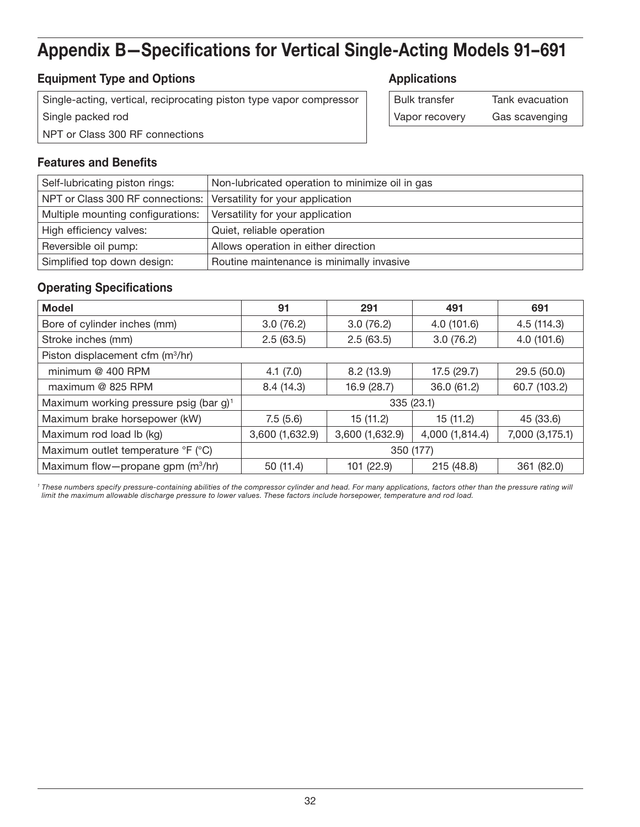# Appendix B—Specifications for Vertical Single-Acting Models 91–691

## **Equipment Type and Options Applications Applications**

Single-acting, vertical, reciprocating piston type vapor compressor Single packed rod NPT or Class 300 RF connections

| l Bulk transfer | Tank evacuation |
|-----------------|-----------------|
| Vapor recovery  | Gas scavenging  |

#### Features and Benefits

| Self-lubricating piston rings:                                      | Non-lubricated operation to minimize oil in gas |
|---------------------------------------------------------------------|-------------------------------------------------|
| NPT or Class 300 RF connections:   Versatility for your application |                                                 |
| Multiple mounting configurations:                                   | Versatility for your application                |
| High efficiency valves:                                             | Quiet, reliable operation                       |
| Reversible oil pump:                                                | Allows operation in either direction            |
| Simplified top down design:                                         | Routine maintenance is minimally invasive       |

#### Operating Specifications

| <b>Model</b>                                       | 91              | 291             | 491             | 691             |
|----------------------------------------------------|-----------------|-----------------|-----------------|-----------------|
| Bore of cylinder inches (mm)                       | 3.0(76.2)       | 3.0(76.2)       | 4.0(101.6)      | 4.5(114.3)      |
| Stroke inches (mm)                                 | 2.5(63.5)       | 2.5(63.5)       | 3.0(76.2)       | 4.0(101.6)      |
| Piston displacement cfm (m <sup>3</sup> /hr)       |                 |                 |                 |                 |
| minimum @ 400 RPM                                  | 4.1(7.0)        | 8.2(13.9)       | 17.5(29.7)      | 29.5(50.0)      |
| maximum @ 825 RPM                                  | 8.4(14.3)       | 16.9 (28.7)     | 36.0 (61.2)     | 60.7 (103.2)    |
| Maximum working pressure psig (bar g) <sup>1</sup> | 335(23.1)       |                 |                 |                 |
| Maximum brake horsepower (kW)                      | 7.5(5.6)        | 15(11.2)        | 15 (11.2)       | 45 (33.6)       |
| Maximum rod load lb (kg)                           | 3,600 (1,632.9) | 3,600 (1,632.9) | 4,000 (1,814.4) | 7,000 (3,175.1) |
| Maximum outlet temperature °F (°C)                 | 350 (177)       |                 |                 |                 |
| Maximum flow-propane gpm (m <sup>3</sup> /hr)      | 50 (11.4)       | 101 (22.9)      | 215 (48.8)      | 361 (82.0)      |

<sup>1</sup> These numbers specify pressure-containing abilities of the compressor cylinder and head. For many applications, factors other than the pressure rating will *limit the maximum allowable discharge pressure to lower values. These factors include horsepower, temperature and rod load.*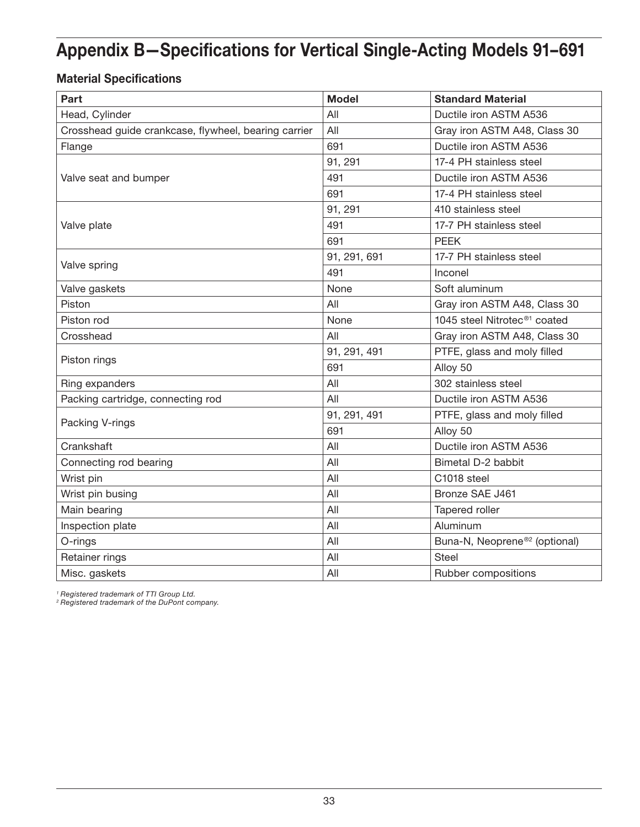# Appendix B—Specifications for Vertical Single-Acting Models 91–691

## Material Specifications

| Part                                                 | <b>Model</b> | <b>Standard Material</b>                  |
|------------------------------------------------------|--------------|-------------------------------------------|
| Head, Cylinder                                       | All          | Ductile iron ASTM A536                    |
| Crosshead guide crankcase, flywheel, bearing carrier | All          | Gray iron ASTM A48, Class 30              |
| Flange                                               | 691          | Ductile iron ASTM A536                    |
|                                                      | 91, 291      | 17-4 PH stainless steel                   |
| Valve seat and bumper                                | 491          | Ductile iron ASTM A536                    |
|                                                      | 691          | 17-4 PH stainless steel                   |
|                                                      | 91, 291      | 410 stainless steel                       |
| Valve plate                                          | 491          | 17-7 PH stainless steel                   |
|                                                      | 691          | <b>PEEK</b>                               |
| Valve spring                                         | 91, 291, 691 | 17-7 PH stainless steel                   |
|                                                      | 491          | Inconel                                   |
| Valve gaskets                                        | None         | Soft aluminum                             |
| Piston                                               | All          | Gray iron ASTM A48, Class 30              |
| Piston rod                                           | None         | 1045 steel Nitrotec <sup>®1</sup> coated  |
| Crosshead                                            | All          | Gray iron ASTM A48, Class 30              |
| Piston rings                                         | 91, 291, 491 | PTFE, glass and moly filled               |
|                                                      | 691          | Alloy 50                                  |
| Ring expanders                                       | All          | 302 stainless steel                       |
| Packing cartridge, connecting rod                    | All          | Ductile iron ASTM A536                    |
| Packing V-rings                                      | 91, 291, 491 | PTFE, glass and moly filled               |
|                                                      | 691          | Alloy 50                                  |
| Crankshaft                                           | All          | Ductile iron ASTM A536                    |
| Connecting rod bearing                               | All          | Bimetal D-2 babbit                        |
| Wrist pin                                            | All          | C1018 steel                               |
| Wrist pin busing                                     | All          | Bronze SAE J461                           |
| Main bearing                                         | All          | Tapered roller                            |
| Inspection plate                                     | All          | Aluminum                                  |
| O-rings                                              | All          | Buna-N, Neoprene® <sup>2</sup> (optional) |
| Retainer rings                                       | All          | <b>Steel</b>                              |
| Misc. gaskets                                        | All          | Rubber compositions                       |

*<sup>1</sup> Registered trademark of TTI Group Ltd.*

*<sup>2</sup> Registered trademark of the DuPont company.*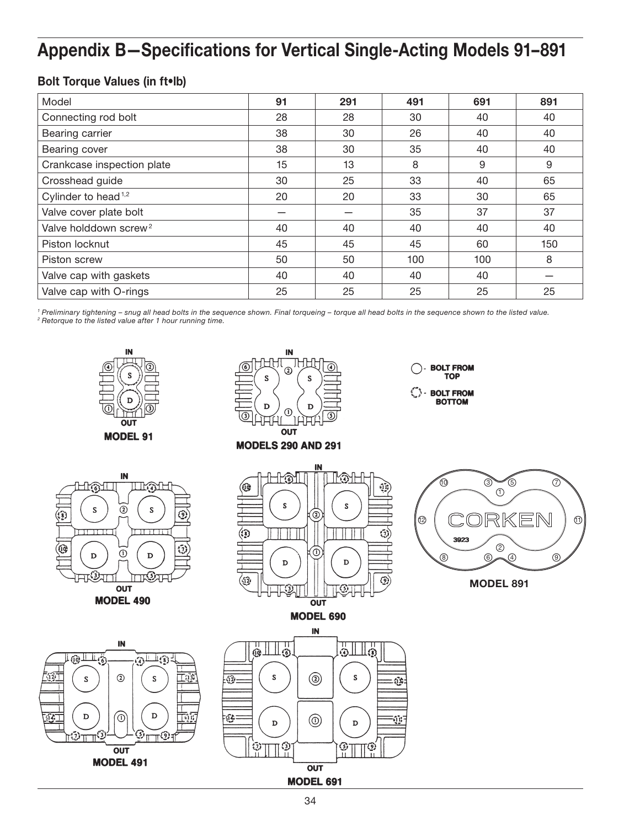# Appendix B—Specifications for Vertical Single-Acting Models 91–891

### Bolt Torque Values (in ft•lb)

| Model                             | 91 | 291 | 491 | 691 | 891 |
|-----------------------------------|----|-----|-----|-----|-----|
| Connecting rod bolt               | 28 | 28  | 30  | 40  | 40  |
| Bearing carrier                   | 38 | 30  | 26  | 40  | 40  |
| Bearing cover                     | 38 | 30  | 35  | 40  | 40  |
| Crankcase inspection plate        | 15 | 13  | 8   | 9   | 9   |
| Crosshead guide                   | 30 | 25  | 33  | 40  | 65  |
| Cylinder to head <sup>1,2</sup>   | 20 | 20  | 33  | 30  | 65  |
| Valve cover plate bolt            |    |     | 35  | 37  | 37  |
| Valve holddown screw <sup>2</sup> | 40 | 40  | 40  | 40  | 40  |
| Piston locknut                    | 45 | 45  | 45  | 60  | 150 |
| Piston screw                      | 50 | 50  | 100 | 100 | 8   |
| Valve cap with gaskets            | 40 | 40  | 40  | 40  |     |
| Valve cap with O-rings            | 25 | 25  | 25  | 25  | 25  |

*<sup>1</sup> Preliminary tightening – snug all head bolts in the sequence shown. Final torqueing – torque all head bolts in the sequence shown to the listed value. <sup>2</sup> Retorque to the listed value after 1 hour running time.*

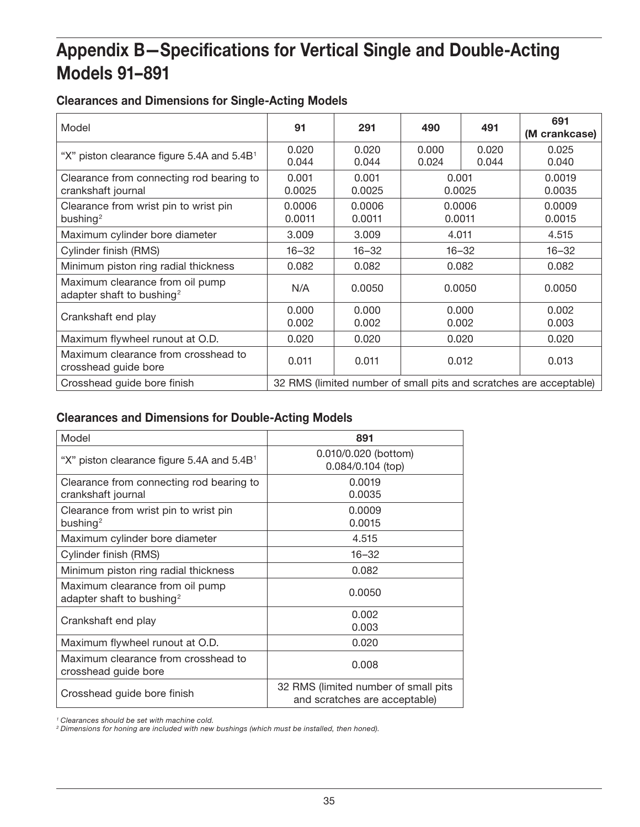# Appendix B—Specifications for Vertical Single and Double-Acting Models 91–891

## Clearances and Dimensions for Single-Acting Models

| Model                                                                    | 91                                                                 | 291              | 490              | 491            | 691<br>(M crankcase) |
|--------------------------------------------------------------------------|--------------------------------------------------------------------|------------------|------------------|----------------|----------------------|
| "X" piston clearance figure 5.4A and 5.4B <sup>1</sup>                   | 0.020<br>0.044                                                     | 0.020<br>0.044   | 0.000<br>0.024   | 0.020<br>0.044 | 0.025<br>0.040       |
| Clearance from connecting rod bearing to<br>crankshaft journal           | 0.001<br>0.0025                                                    | 0.001<br>0.0025  | 0.001<br>0.0025  |                | 0.0019<br>0.0035     |
| Clearance from wrist pin to wrist pin<br>bushing <sup>2</sup>            | 0.0006<br>0.0011                                                   | 0.0006<br>0.0011 | 0.0006<br>0.0011 |                | 0.0009<br>0.0015     |
| Maximum cylinder bore diameter                                           | 3.009                                                              | 3.009            | 4.011            |                | 4.515                |
| Cylinder finish (RMS)                                                    | $16 - 32$                                                          | $16 - 32$        |                  | $16 - 32$      | $16 - 32$            |
| Minimum piston ring radial thickness                                     | 0.082                                                              | 0.082            | 0.082            |                | 0.082                |
| Maximum clearance from oil pump<br>adapter shaft to bushing <sup>2</sup> | N/A                                                                | 0.0050           | 0.0050           |                | 0.0050               |
| Crankshaft end play                                                      | 0.000<br>0.002                                                     | 0.000<br>0.002   | 0.000<br>0.002   |                | 0.002<br>0.003       |
| Maximum flywheel runout at O.D.                                          | 0.020                                                              | 0.020            | 0.020            |                | 0.020                |
| Maximum clearance from crosshead to<br>crosshead guide bore              | 0.011                                                              | 0.011            | 0.012            |                | 0.013                |
| Crosshead guide bore finish                                              | 32 RMS (limited number of small pits and scratches are acceptable) |                  |                  |                |                      |

## Clearances and Dimensions for Double-Acting Models

| Model                                                                    | 891                                                                   |
|--------------------------------------------------------------------------|-----------------------------------------------------------------------|
| "X" piston clearance figure 5.4A and $5.4B1$                             | 0.010/0.020 (bottom)<br>0.084/0.104 (top)                             |
| Clearance from connecting rod bearing to<br>crankshaft journal           | 0.0019<br>0.0035                                                      |
| Clearance from wrist pin to wrist pin<br>bushing <sup>2</sup>            | 0.0009<br>0.0015                                                      |
| Maximum cylinder bore diameter                                           | 4.515                                                                 |
| Cylinder finish (RMS)                                                    | $16 - 32$                                                             |
| Minimum piston ring radial thickness                                     | 0.082                                                                 |
| Maximum clearance from oil pump<br>adapter shaft to bushing <sup>2</sup> | 0.0050                                                                |
| Crankshaft end play                                                      | 0.002<br>0.003                                                        |
| Maximum flywheel runout at O.D.                                          | 0.020                                                                 |
| Maximum clearance from crosshead to<br>crosshead guide bore              | 0.008                                                                 |
| Crosshead guide bore finish                                              | 32 RMS (limited number of small pits<br>and scratches are acceptable) |

*<sup>1</sup> Clearances should be set with machine cold.*

*<sup>2</sup> Dimensions for honing are included with new bushings (which must be installed, then honed).*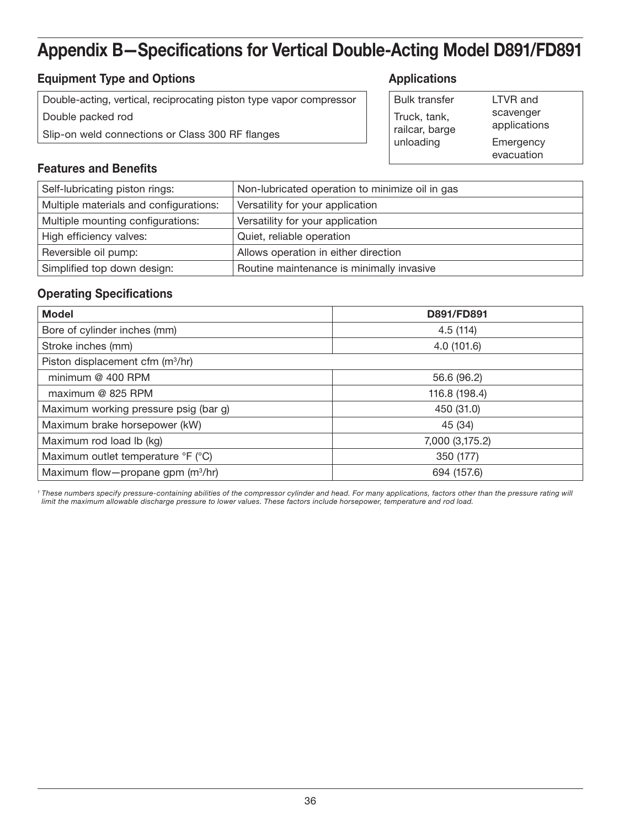## Appendix B—Specifications for Vertical Double-Acting Model D891/FD891

## **Equipment Type and Options Applications Applications**

Double-acting, vertical, reciprocating piston type vapor compressor Double packed rod Slip-on weld connections or Class 300 RF flanges

| <b>Bulk transfer</b>           | LTVR and                  |
|--------------------------------|---------------------------|
| Truck, tank,<br>railcar, barge | scavenger<br>applications |
| unloading                      | Emergency                 |
|                                | evacuation                |

#### Features and Benefits

| Self-lubricating piston rings:         | Non-lubricated operation to minimize oil in gas |
|----------------------------------------|-------------------------------------------------|
| Multiple materials and configurations: | Versatility for your application                |
| Multiple mounting configurations:      | Versatility for your application                |
| High efficiency valves:                | Quiet, reliable operation                       |
| Reversible oil pump:                   | Allows operation in either direction            |
| Simplified top down design:            | Routine maintenance is minimally invasive       |

#### Operating Specifications

| <b>Model</b>                                  | D891/FD891      |
|-----------------------------------------------|-----------------|
| Bore of cylinder inches (mm)                  | 4.5(114)        |
| Stroke inches (mm)                            | 4.0(101.6)      |
| Piston displacement cfm (m <sup>3</sup> /hr)  |                 |
| minimum @ 400 RPM                             | 56.6 (96.2)     |
| maximum @ 825 RPM                             | 116.8 (198.4)   |
| Maximum working pressure psig (bar g)         | 450 (31.0)      |
| Maximum brake horsepower (kW)                 | 45 (34)         |
| Maximum rod load lb (kg)                      | 7,000 (3,175.2) |
| Maximum outlet temperature °F (°C)            | 350 (177)       |
| Maximum flow-propane gpm (m <sup>3</sup> /hr) | 694 (157.6)     |

<sup>1</sup> These numbers specify pressure-containing abilities of the compressor cylinder and head. For many applications, factors other than the pressure rating will *limit the maximum allowable discharge pressure to lower values. These factors include horsepower, temperature and rod load.*